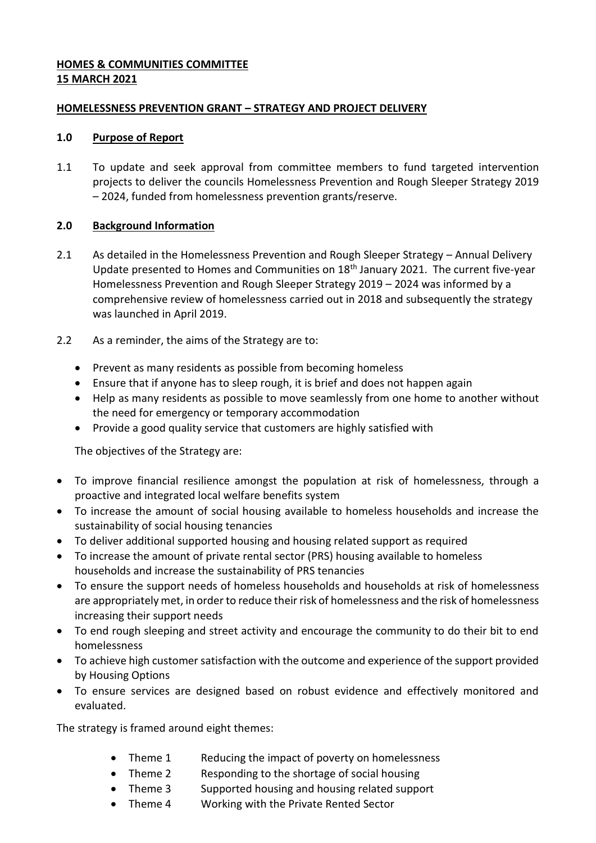## **HOMES & COMMUNITIES COMMITTEE 15 MARCH 2021**

## **HOMELESSNESS PREVENTION GRANT – STRATEGY AND PROJECT DELIVERY**

## **1.0 Purpose of Report**

1.1 To update and seek approval from committee members to fund targeted intervention projects to deliver the councils Homelessness Prevention and Rough Sleeper Strategy 2019 – 2024, funded from homelessness prevention grants/reserve.

## **2.0 Background Information**

- 2.1 As detailed in the Homelessness Prevention and Rough Sleeper Strategy Annual Delivery Update presented to Homes and Communities on 18<sup>th</sup> January 2021. The current five-year Homelessness Prevention and Rough Sleeper Strategy 2019 – 2024 was informed by a comprehensive review of homelessness carried out in 2018 and subsequently the strategy was launched in April 2019.
- 2.2 As a reminder, the aims of the Strategy are to:
	- Prevent as many residents as possible from becoming homeless
	- Ensure that if anyone has to sleep rough, it is brief and does not happen again
	- Help as many residents as possible to move seamlessly from one home to another without the need for emergency or temporary accommodation
	- Provide a good quality service that customers are highly satisfied with

The objectives of the Strategy are:

- To improve financial resilience amongst the population at risk of homelessness, through a proactive and integrated local welfare benefits system
- To increase the amount of social housing available to homeless households and increase the sustainability of social housing tenancies
- To deliver additional supported housing and housing related support as required
- To increase the amount of private rental sector (PRS) housing available to homeless households and increase the sustainability of PRS tenancies
- To ensure the support needs of homeless households and households at risk of homelessness are appropriately met, in order to reduce their risk of homelessness and the risk of homelessness increasing their support needs
- To end rough sleeping and street activity and encourage the community to do their bit to end homelessness
- To achieve high customer satisfaction with the outcome and experience of the support provided by Housing Options
- To ensure services are designed based on robust evidence and effectively monitored and evaluated.

The strategy is framed around eight themes:

- Theme 1 Reducing the impact of poverty on homelessness
- Theme 2 Responding to the shortage of social housing
- Theme 3 Supported housing and housing related support
- Theme 4 Working with the Private Rented Sector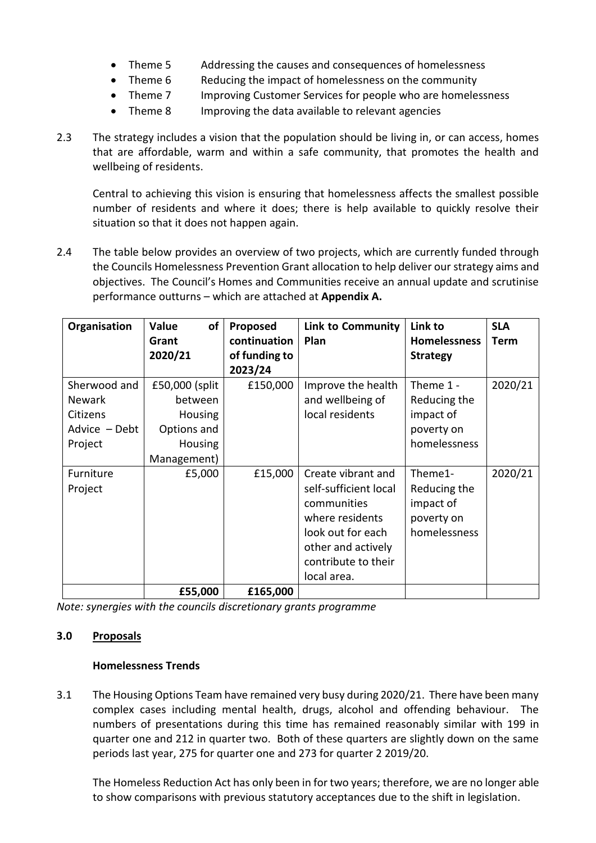- Theme 5 Addressing the causes and consequences of homelessness
- Theme 6 Reducing the impact of homelessness on the community
- Theme 7 Improving Customer Services for people who are homelessness
- Theme 8 Improving the data available to relevant agencies
- 2.3 The strategy includes a vision that the population should be living in, or can access, homes that are affordable, warm and within a safe community, that promotes the health and wellbeing of residents.

Central to achieving this vision is ensuring that homelessness affects the smallest possible number of residents and where it does; there is help available to quickly resolve their situation so that it does not happen again.

2.4 The table below provides an overview of two projects, which are currently funded through the Councils Homelessness Prevention Grant allocation to help deliver our strategy aims and objectives. The Council's Homes and Communities receive an annual update and scrutinise performance outturns – which are attached at **Appendix A.**

| Organisation                                                          | of<br>Value<br>Grant<br>2020/21                                                             | Proposed<br>continuation<br>of funding to<br>2023/24 | <b>Link to Community</b><br>Plan                                                                                                                               | Link to<br><b>Homelessness</b><br><b>Strategy</b>                      | <b>SLA</b><br><b>Term</b> |
|-----------------------------------------------------------------------|---------------------------------------------------------------------------------------------|------------------------------------------------------|----------------------------------------------------------------------------------------------------------------------------------------------------------------|------------------------------------------------------------------------|---------------------------|
| Sherwood and<br><b>Newark</b><br>Citizens<br>Advice - Debt<br>Project | £50,000 (split<br>between<br><b>Housing</b><br>Options and<br><b>Housing</b><br>Management) | £150,000                                             | Improve the health<br>and wellbeing of<br>local residents                                                                                                      | Theme $1 -$<br>Reducing the<br>impact of<br>poverty on<br>homelessness | 2020/21                   |
| Furniture<br>Project                                                  | £5,000                                                                                      | £15,000                                              | Create vibrant and<br>self-sufficient local<br>communities<br>where residents<br>look out for each<br>other and actively<br>contribute to their<br>local area. | Theme1-<br>Reducing the<br>impact of<br>poverty on<br>homelessness     | 2020/21                   |
|                                                                       | £55,000                                                                                     | £165,000                                             |                                                                                                                                                                |                                                                        |                           |

*Note: synergies with the councils discretionary grants programme*

#### **3.0 Proposals**

#### **Homelessness Trends**

3.1 The Housing Options Team have remained very busy during 2020/21. There have been many complex cases including mental health, drugs, alcohol and offending behaviour. The numbers of presentations during this time has remained reasonably similar with 199 in quarter one and 212 in quarter two. Both of these quarters are slightly down on the same periods last year, 275 for quarter one and 273 for quarter 2 2019/20.

The Homeless Reduction Act has only been in for two years; therefore, we are no longer able to show comparisons with previous statutory acceptances due to the shift in legislation.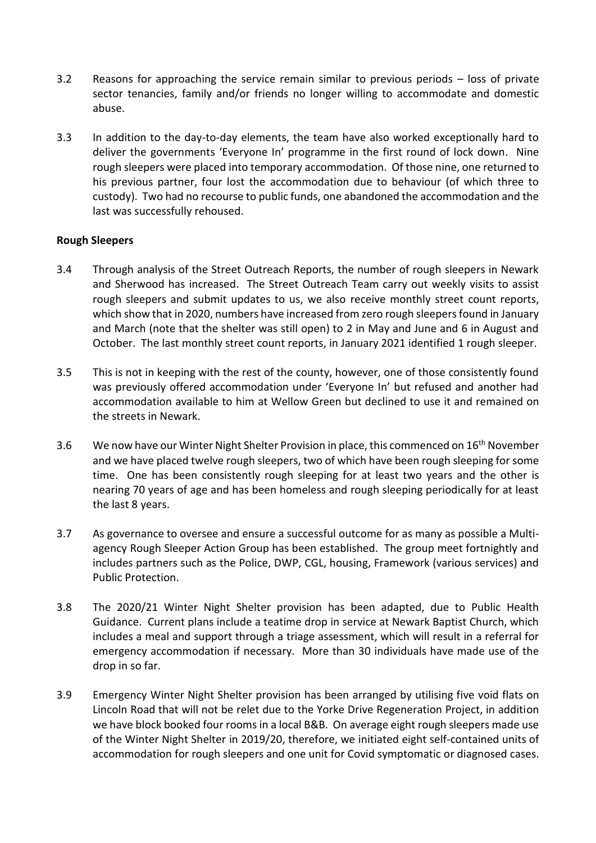- 3.2 Reasons for approaching the service remain similar to previous periods loss of private sector tenancies, family and/or friends no longer willing to accommodate and domestic abuse.
- 3.3 In addition to the day-to-day elements, the team have also worked exceptionally hard to deliver the governments 'Everyone In' programme in the first round of lock down. Nine rough sleepers were placed into temporary accommodation. Of those nine, one returned to his previous partner, four lost the accommodation due to behaviour (of which three to custody). Two had no recourse to public funds, one abandoned the accommodation and the last was successfully rehoused.

## **Rough Sleepers**

- 3.4 Through analysis of the Street Outreach Reports, the number of rough sleepers in Newark and Sherwood has increased. The Street Outreach Team carry out weekly visits to assist rough sleepers and submit updates to us, we also receive monthly street count reports, which show that in 2020, numbers have increased from zero rough sleepers found in January and March (note that the shelter was still open) to 2 in May and June and 6 in August and October. The last monthly street count reports, in January 2021 identified 1 rough sleeper.
- 3.5 This is not in keeping with the rest of the county, however, one of those consistently found was previously offered accommodation under 'Everyone In' but refused and another had accommodation available to him at Wellow Green but declined to use it and remained on the streets in Newark.
- 3.6 We now have our Winter Night Shelter Provision in place, this commenced on 16<sup>th</sup> November and we have placed twelve rough sleepers, two of which have been rough sleeping for some time. One has been consistently rough sleeping for at least two years and the other is nearing 70 years of age and has been homeless and rough sleeping periodically for at least the last 8 years.
- 3.7 As governance to oversee and ensure a successful outcome for as many as possible a Multiagency Rough Sleeper Action Group has been established. The group meet fortnightly and includes partners such as the Police, DWP, CGL, housing, Framework (various services) and Public Protection.
- 3.8 The 2020/21 Winter Night Shelter provision has been adapted, due to Public Health Guidance. Current plans include a teatime drop in service at Newark Baptist Church, which includes a meal and support through a triage assessment, which will result in a referral for emergency accommodation if necessary. More than 30 individuals have made use of the drop in so far.
- 3.9 Emergency Winter Night Shelter provision has been arranged by utilising five void flats on Lincoln Road that will not be relet due to the Yorke Drive Regeneration Project, in addition we have block booked four rooms in a local B&B. On average eight rough sleepers made use of the Winter Night Shelter in 2019/20, therefore, we initiated eight self-contained units of accommodation for rough sleepers and one unit for Covid symptomatic or diagnosed cases.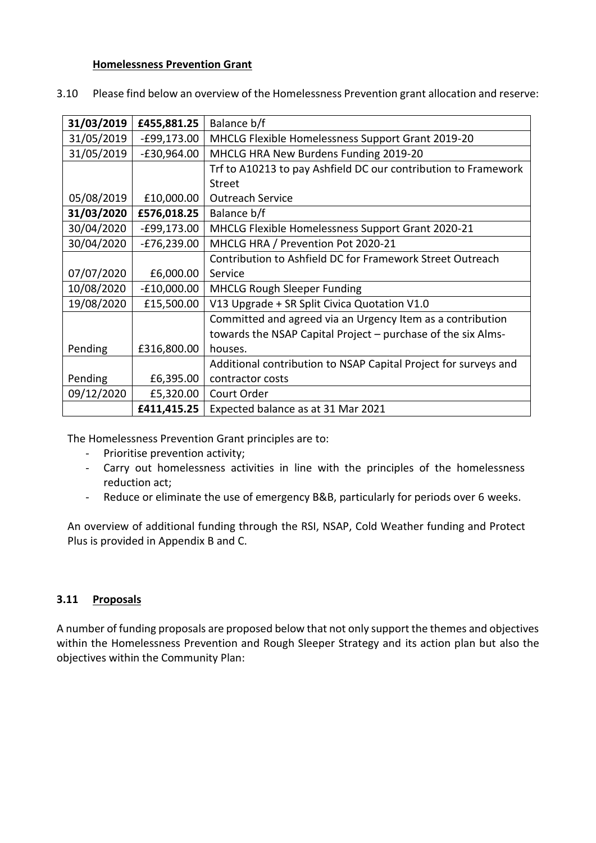#### **Homelessness Prevention Grant**

|  | 3.10 Please find below an overview of the Homelessness Prevention grant allocation and reserve: |  |
|--|-------------------------------------------------------------------------------------------------|--|
|--|-------------------------------------------------------------------------------------------------|--|

| 31/03/2019 | £455,881.25   | Balance b/f                                                     |
|------------|---------------|-----------------------------------------------------------------|
| 31/05/2019 | $-E99,173.00$ | MHCLG Flexible Homelessness Support Grant 2019-20               |
| 31/05/2019 | $-E30,964.00$ | MHCLG HRA New Burdens Funding 2019-20                           |
|            |               | Trf to A10213 to pay Ashfield DC our contribution to Framework  |
|            |               | <b>Street</b>                                                   |
| 05/08/2019 | £10,000.00    | <b>Outreach Service</b>                                         |
| 31/03/2020 | £576,018.25   | Balance b/f                                                     |
| 30/04/2020 | $-£99,173.00$ | MHCLG Flexible Homelessness Support Grant 2020-21               |
| 30/04/2020 | $-E76,239.00$ | MHCLG HRA / Prevention Pot 2020-21                              |
|            |               | Contribution to Ashfield DC for Framework Street Outreach       |
| 07/07/2020 | £6,000.00     | Service                                                         |
| 10/08/2020 | $-£10,000.00$ | <b>MHCLG Rough Sleeper Funding</b>                              |
| 19/08/2020 | £15,500.00    | V13 Upgrade + SR Split Civica Quotation V1.0                    |
|            |               | Committed and agreed via an Urgency Item as a contribution      |
|            |               | towards the NSAP Capital Project - purchase of the six Alms-    |
| Pending    | £316,800.00   | houses.                                                         |
|            |               | Additional contribution to NSAP Capital Project for surveys and |
| Pending    | £6,395.00     | contractor costs                                                |
| 09/12/2020 | £5,320.00     | Court Order                                                     |
|            | £411,415.25   | Expected balance as at 31 Mar 2021                              |

The Homelessness Prevention Grant principles are to:

- Prioritise prevention activity;
- Carry out homelessness activities in line with the principles of the homelessness reduction act;
- Reduce or eliminate the use of emergency B&B, particularly for periods over 6 weeks.

An overview of additional funding through the RSI, NSAP, Cold Weather funding and Protect Plus is provided in Appendix B and C.

## **3.11 Proposals**

A number of funding proposals are proposed below that not only support the themes and objectives within the Homelessness Prevention and Rough Sleeper Strategy and its action plan but also the objectives within the Community Plan: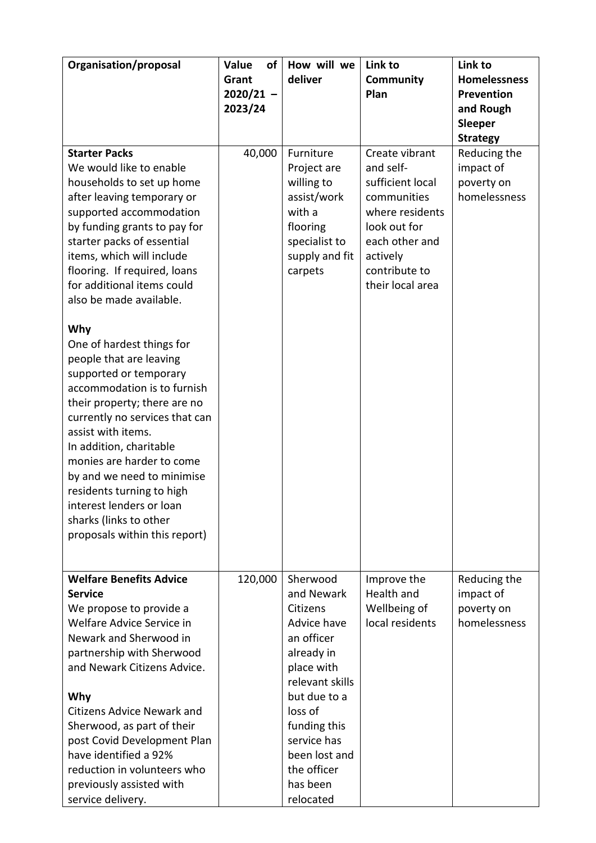| Organisation/proposal                                                              | of<br>Value | How will we                         | Link to                                            | Link to                    |
|------------------------------------------------------------------------------------|-------------|-------------------------------------|----------------------------------------------------|----------------------------|
|                                                                                    | Grant       | deliver                             | Community                                          | <b>Homelessness</b>        |
|                                                                                    | $2020/21 -$ |                                     | Plan                                               | Prevention                 |
|                                                                                    | 2023/24     |                                     |                                                    | and Rough                  |
|                                                                                    |             |                                     |                                                    | Sleeper<br><b>Strategy</b> |
| <b>Starter Packs</b><br>We would like to enable                                    | 40,000      | Furniture<br>Project are            | Create vibrant<br>and self-                        | Reducing the<br>impact of  |
| households to set up home<br>after leaving temporary or<br>supported accommodation |             | willing to<br>assist/work<br>with a | sufficient local<br>communities<br>where residents | poverty on<br>homelessness |
| by funding grants to pay for<br>starter packs of essential                         |             | flooring<br>specialist to           | look out for<br>each other and                     |                            |
| items, which will include<br>flooring. If required, loans                          |             | supply and fit                      | actively<br>contribute to                          |                            |
| for additional items could                                                         |             | carpets                             | their local area                                   |                            |
| also be made available.                                                            |             |                                     |                                                    |                            |
| Why                                                                                |             |                                     |                                                    |                            |
| One of hardest things for<br>people that are leaving                               |             |                                     |                                                    |                            |
| supported or temporary                                                             |             |                                     |                                                    |                            |
| accommodation is to furnish                                                        |             |                                     |                                                    |                            |
| their property; there are no<br>currently no services that can                     |             |                                     |                                                    |                            |
| assist with items.                                                                 |             |                                     |                                                    |                            |
| In addition, charitable<br>monies are harder to come                               |             |                                     |                                                    |                            |
| by and we need to minimise                                                         |             |                                     |                                                    |                            |
| residents turning to high<br>interest lenders or loan                              |             |                                     |                                                    |                            |
| sharks (links to other                                                             |             |                                     |                                                    |                            |
| proposals within this report)                                                      |             |                                     |                                                    |                            |
|                                                                                    |             |                                     |                                                    |                            |
| <b>Welfare Benefits Advice</b><br><b>Service</b>                                   | 120,000     | Sherwood<br>and Newark              | Improve the<br>Health and                          | Reducing the               |
| We propose to provide a                                                            |             | Citizens                            | Wellbeing of                                       | impact of<br>poverty on    |
| Welfare Advice Service in                                                          |             | Advice have                         | local residents                                    | homelessness               |
| Newark and Sherwood in                                                             |             | an officer                          |                                                    |                            |
| partnership with Sherwood                                                          |             | already in                          |                                                    |                            |
| and Newark Citizens Advice.                                                        |             | place with<br>relevant skills       |                                                    |                            |
| Why                                                                                |             | but due to a                        |                                                    |                            |
| <b>Citizens Advice Newark and</b>                                                  |             | loss of                             |                                                    |                            |
| Sherwood, as part of their                                                         |             | funding this                        |                                                    |                            |
| post Covid Development Plan                                                        |             | service has                         |                                                    |                            |
| have identified a 92%                                                              |             | been lost and                       |                                                    |                            |
| reduction in volunteers who<br>previously assisted with                            |             | the officer<br>has been             |                                                    |                            |
| service delivery.                                                                  |             | relocated                           |                                                    |                            |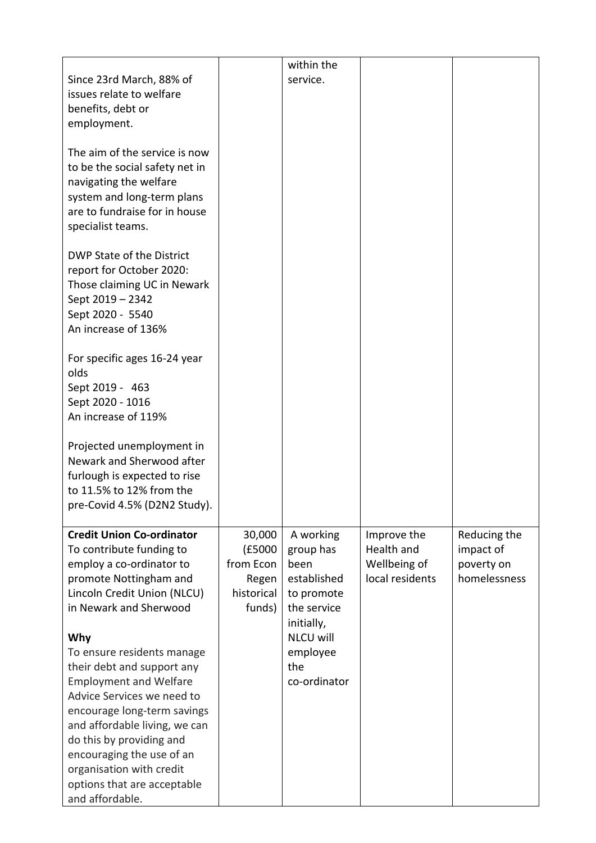|                                  |            | within the       |                 |              |
|----------------------------------|------------|------------------|-----------------|--------------|
| Since 23rd March, 88% of         |            | service.         |                 |              |
| issues relate to welfare         |            |                  |                 |              |
| benefits, debt or                |            |                  |                 |              |
| employment.                      |            |                  |                 |              |
|                                  |            |                  |                 |              |
| The aim of the service is now    |            |                  |                 |              |
| to be the social safety net in   |            |                  |                 |              |
| navigating the welfare           |            |                  |                 |              |
| system and long-term plans       |            |                  |                 |              |
| are to fundraise for in house    |            |                  |                 |              |
| specialist teams.                |            |                  |                 |              |
|                                  |            |                  |                 |              |
| DWP State of the District        |            |                  |                 |              |
| report for October 2020:         |            |                  |                 |              |
| Those claiming UC in Newark      |            |                  |                 |              |
| Sept 2019 - 2342                 |            |                  |                 |              |
| Sept 2020 - 5540                 |            |                  |                 |              |
| An increase of 136%              |            |                  |                 |              |
|                                  |            |                  |                 |              |
| For specific ages 16-24 year     |            |                  |                 |              |
| olds                             |            |                  |                 |              |
| Sept 2019 - 463                  |            |                  |                 |              |
| Sept 2020 - 1016                 |            |                  |                 |              |
| An increase of 119%              |            |                  |                 |              |
| Projected unemployment in        |            |                  |                 |              |
| Newark and Sherwood after        |            |                  |                 |              |
| furlough is expected to rise     |            |                  |                 |              |
| to 11.5% to 12% from the         |            |                  |                 |              |
| pre-Covid 4.5% (D2N2 Study).     |            |                  |                 |              |
|                                  |            |                  |                 |              |
| <b>Credit Union Co-ordinator</b> | 30,000     | A working        | Improve the     | Reducing the |
| To contribute funding to         | (£5000     | group has        | Health and      | impact of    |
| employ a co-ordinator to         | from Econ  | been             | Wellbeing of    | poverty on   |
| promote Nottingham and           | Regen      | established      | local residents | homelessness |
| Lincoln Credit Union (NLCU)      | historical | to promote       |                 |              |
| in Newark and Sherwood           | funds)     | the service      |                 |              |
|                                  |            | initially,       |                 |              |
| Why                              |            | <b>NLCU will</b> |                 |              |
| To ensure residents manage       |            | employee         |                 |              |
| their debt and support any       |            | the              |                 |              |
| <b>Employment and Welfare</b>    |            | co-ordinator     |                 |              |
| Advice Services we need to       |            |                  |                 |              |
| encourage long-term savings      |            |                  |                 |              |
| and affordable living, we can    |            |                  |                 |              |
| do this by providing and         |            |                  |                 |              |
| encouraging the use of an        |            |                  |                 |              |
| organisation with credit         |            |                  |                 |              |
| options that are acceptable      |            |                  |                 |              |
| and affordable.                  |            |                  |                 |              |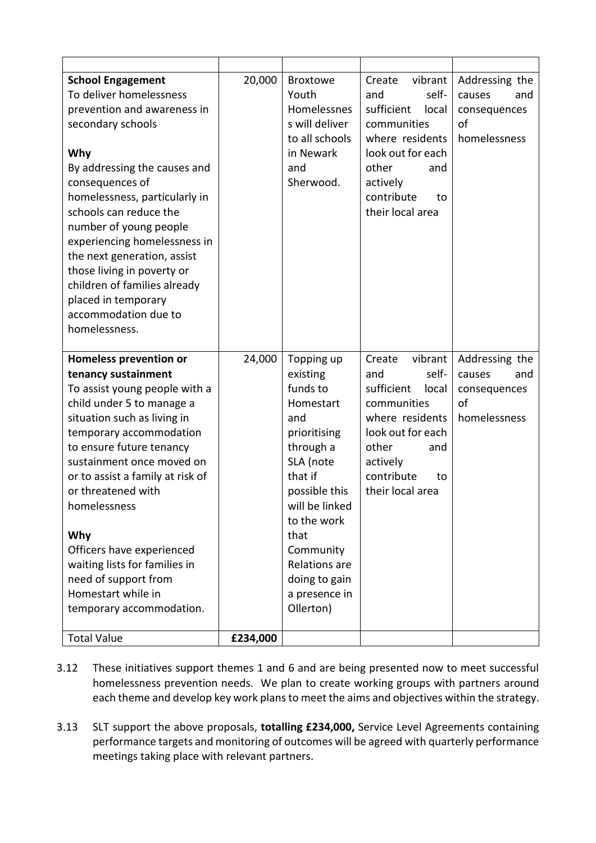| <b>School Engagement</b>         | 20,000   | <b>Broxtowe</b> | vibrant<br>Create   | Addressing the |
|----------------------------------|----------|-----------------|---------------------|----------------|
| To deliver homelessness          |          | Youth           | and<br>self-        | causes<br>and  |
| prevention and awareness in      |          | Homelessnes     | sufficient<br>local | consequences   |
| secondary schools                |          | s will deliver  | communities         | of             |
|                                  |          | to all schools  | where residents     | homelessness   |
| Why                              |          | in Newark       | look out for each   |                |
| By addressing the causes and     |          | and             | other<br>and        |                |
| consequences of                  |          | Sherwood.       | actively            |                |
| homelessness, particularly in    |          |                 | contribute<br>to    |                |
| schools can reduce the           |          |                 | their local area    |                |
| number of young people           |          |                 |                     |                |
| experiencing homelessness in     |          |                 |                     |                |
| the next generation, assist      |          |                 |                     |                |
| those living in poverty or       |          |                 |                     |                |
| children of families already     |          |                 |                     |                |
| placed in temporary              |          |                 |                     |                |
| accommodation due to             |          |                 |                     |                |
| homelessness.                    |          |                 |                     |                |
|                                  |          |                 |                     |                |
| <b>Homeless prevention or</b>    | 24,000   | Topping up      | vibrant<br>Create   | Addressing the |
| tenancy sustainment              |          | existing        | self-<br>and        | causes<br>and  |
| To assist young people with a    |          | funds to        | sufficient<br>local | consequences   |
| child under 5 to manage a        |          | Homestart       | communities         |                |
|                                  |          |                 |                     | of             |
| situation such as living in      |          | and             | where residents     | homelessness   |
| temporary accommodation          |          | prioritising    | look out for each   |                |
| to ensure future tenancy         |          | through a       | other<br>and        |                |
| sustainment once moved on        |          | SLA (note       | actively            |                |
| or to assist a family at risk of |          | that if         | contribute<br>to    |                |
| or threatened with               |          | possible this   | their local area    |                |
| homelessness                     |          | will be linked  |                     |                |
|                                  |          | to the work     |                     |                |
| Why                              |          | that            |                     |                |
| Officers have experienced        |          | Community       |                     |                |
| waiting lists for families in    |          | Relations are   |                     |                |
| need of support from             |          | doing to gain   |                     |                |
| Homestart while in               |          | a presence in   |                     |                |
| temporary accommodation.         |          | Ollerton)       |                     |                |
| <b>Total Value</b>               | £234,000 |                 |                     |                |

- 3.12 These initiatives support themes 1 and 6 and are being presented now to meet successful homelessness prevention needs. We plan to create working groups with partners around each theme and develop key work plans to meet the aims and objectives within the strategy.
- 3.13 SLT support the above proposals, **totalling £234,000,** Service Level Agreements containing performance targets and monitoring of outcomes will be agreed with quarterly performance meetings taking place with relevant partners.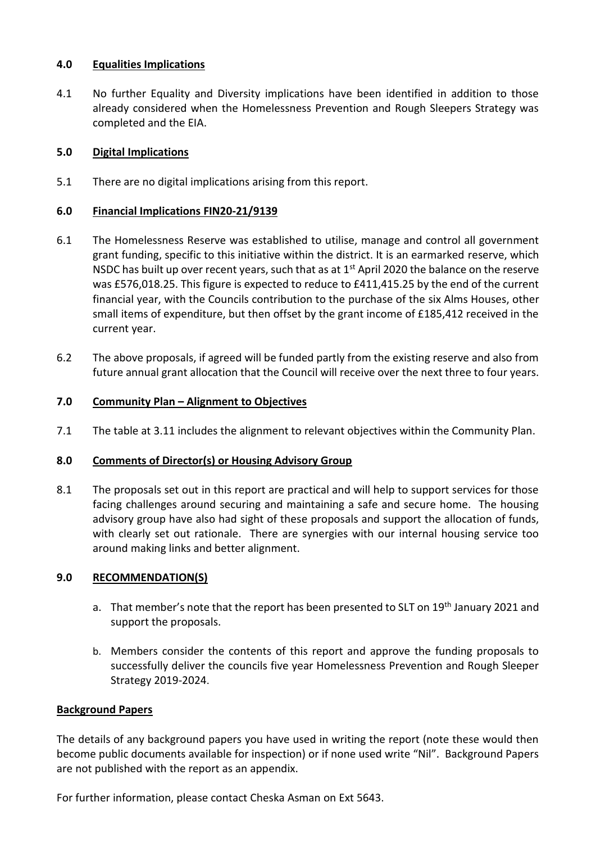## **4.0 Equalities Implications**

4.1 No further Equality and Diversity implications have been identified in addition to those already considered when the Homelessness Prevention and Rough Sleepers Strategy was completed and the EIA.

## **5.0 Digital Implications**

5.1 There are no digital implications arising from this report.

### **6.0 Financial Implications FIN20-21/9139**

- 6.1 The Homelessness Reserve was established to utilise, manage and control all government grant funding, specific to this initiative within the district. It is an earmarked reserve, which NSDC has built up over recent years, such that as at  $1<sup>st</sup>$  April 2020 the balance on the reserve was £576,018.25. This figure is expected to reduce to £411,415.25 by the end of the current financial year, with the Councils contribution to the purchase of the six Alms Houses, other small items of expenditure, but then offset by the grant income of £185,412 received in the current year.
- 6.2 The above proposals, if agreed will be funded partly from the existing reserve and also from future annual grant allocation that the Council will receive over the next three to four years.

## **7.0 Community Plan – Alignment to Objectives**

7.1 The table at 3.11 includes the alignment to relevant objectives within the Community Plan.

#### **8.0 Comments of Director(s) or Housing Advisory Group**

8.1 The proposals set out in this report are practical and will help to support services for those facing challenges around securing and maintaining a safe and secure home. The housing advisory group have also had sight of these proposals and support the allocation of funds, with clearly set out rationale. There are synergies with our internal housing service too around making links and better alignment.

#### **9.0 RECOMMENDATION(S)**

- a. That member's note that the report has been presented to SLT on 19<sup>th</sup> January 2021 and support the proposals.
- b. Members consider the contents of this report and approve the funding proposals to successfully deliver the councils five year Homelessness Prevention and Rough Sleeper Strategy 2019-2024.

#### **Background Papers**

The details of any background papers you have used in writing the report (note these would then become public documents available for inspection) or if none used write "Nil". Background Papers are not published with the report as an appendix.

For further information, please contact Cheska Asman on Ext 5643.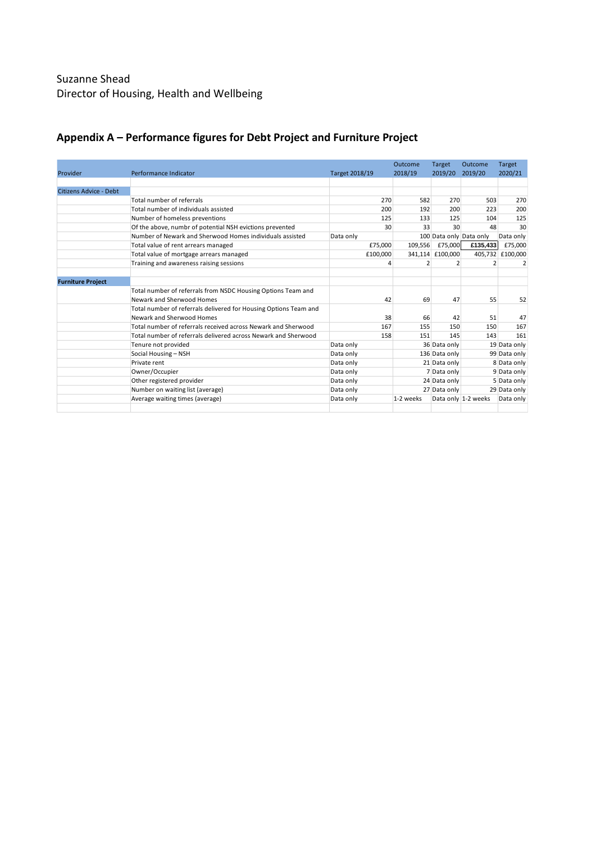# Suzanne Shead Director of Housing, Health and Wellbeing

|                          |                                                                  |                | Outcome   | Target           | Outcome                 | Target       |
|--------------------------|------------------------------------------------------------------|----------------|-----------|------------------|-------------------------|--------------|
| Provider                 | Performance Indicator                                            | Target 2018/19 | 2018/19   | 2019/20          | 2019/20                 | 2020/21      |
|                          |                                                                  |                |           |                  |                         |              |
| Citizens Advice - Debt   |                                                                  |                |           |                  |                         |              |
|                          | Total number of referrals                                        | 270            | 582       | 270              | 503                     | 270          |
|                          | Total number of individuals assisted                             | 200            | 192       | 200              | 223                     | 200          |
|                          | Number of homeless preventions                                   | 125            | 133       | 125              | 104                     | 125          |
|                          | Of the above, numbr of potential NSH evictions prevented         | 30             | 33        | 30               | 48                      | 30           |
|                          | Number of Newark and Sherwood Homes individuals assisted         | Data only      |           |                  | 100 Data only Data only | Data only    |
|                          | Total value of rent arrears managed                              | £75,000        | 109,556   | £75,000          | £135,433                | £75,000      |
|                          | Total value of mortgage arrears managed                          | £100,000       |           | 341,114 £100,000 | 405,732                 | £100,000     |
|                          | Training and awareness raising sessions                          |                | 2         |                  |                         |              |
|                          |                                                                  |                |           |                  |                         |              |
| <b>Furniture Project</b> |                                                                  |                |           |                  |                         |              |
|                          | Total number of referrals from NSDC Housing Options Team and     |                |           |                  |                         |              |
|                          | Newark and Sherwood Homes                                        | 42             | 69        | 47               | 55                      | 52           |
|                          | Total number of referrals delivered for Housing Options Team and |                |           |                  |                         |              |
|                          | Newark and Sherwood Homes                                        | 38             | 66        | 42               | 51                      | 47           |
|                          | Total number of referrals received across Newark and Sherwood    | 167            | 155       | 150              | 150                     | 167          |
|                          | Total number of referrals delivered across Newark and Sherwood   | 158            | 151       | 145              | 143                     | 161          |
|                          | Tenure not provided                                              | Data only      |           | 36 Data only     |                         | 19 Data only |
|                          | Social Housing - NSH                                             | Data only      |           | 136 Data only    |                         | 99 Data only |
|                          | Private rent                                                     | Data only      |           | 21 Data only     |                         | 8 Data only  |
|                          | Owner/Occupier                                                   | Data only      |           | 7 Data only      |                         | 9 Data only  |
|                          | Other registered provider                                        | Data only      |           | 24 Data only     |                         | 5 Data only  |
|                          | Number on waiting list (average)                                 | Data only      |           | 27 Data only     |                         | 29 Data only |
|                          | Average waiting times (average)                                  | Data only      | 1-2 weeks |                  | Data only 1-2 weeks     | Data only    |
|                          |                                                                  |                |           |                  |                         |              |

# **Appendix A – Performance figures for Debt Project and Furniture Project**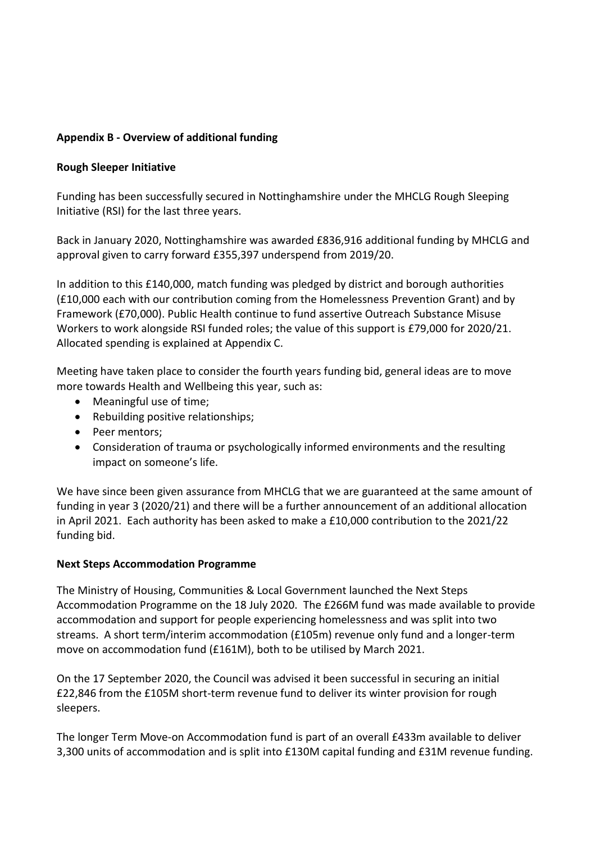## **Appendix B - Overview of additional funding**

## **Rough Sleeper Initiative**

Funding has been successfully secured in Nottinghamshire under the MHCLG Rough Sleeping Initiative (RSI) for the last three years.

Back in January 2020, Nottinghamshire was awarded £836,916 additional funding by MHCLG and approval given to carry forward £355,397 underspend from 2019/20.

In addition to this £140,000, match funding was pledged by district and borough authorities (£10,000 each with our contribution coming from the Homelessness Prevention Grant) and by Framework (£70,000). Public Health continue to fund assertive Outreach Substance Misuse Workers to work alongside RSI funded roles; the value of this support is £79,000 for 2020/21. Allocated spending is explained at Appendix C.

Meeting have taken place to consider the fourth years funding bid, general ideas are to move more towards Health and Wellbeing this year, such as:

- Meaningful use of time;
- Rebuilding positive relationships;
- Peer mentors;
- Consideration of trauma or psychologically informed environments and the resulting impact on someone's life.

We have since been given assurance from MHCLG that we are guaranteed at the same amount of funding in year 3 (2020/21) and there will be a further announcement of an additional allocation in April 2021. Each authority has been asked to make a £10,000 contribution to the 2021/22 funding bid.

## **Next Steps Accommodation Programme**

The Ministry of Housing, Communities & Local Government launched the Next Steps Accommodation Programme on the 18 July 2020. The £266M fund was made available to provide accommodation and support for people experiencing homelessness and was split into two streams. A short term/interim accommodation (£105m) revenue only fund and a longer-term move on accommodation fund (£161M), both to be utilised by March 2021.

On the 17 September 2020, the Council was advised it been successful in securing an initial £22,846 from the £105M short-term revenue fund to deliver its winter provision for rough sleepers.

The longer Term Move-on Accommodation fund is part of an overall £433m available to deliver 3,300 units of accommodation and is split into £130M capital funding and £31M revenue funding.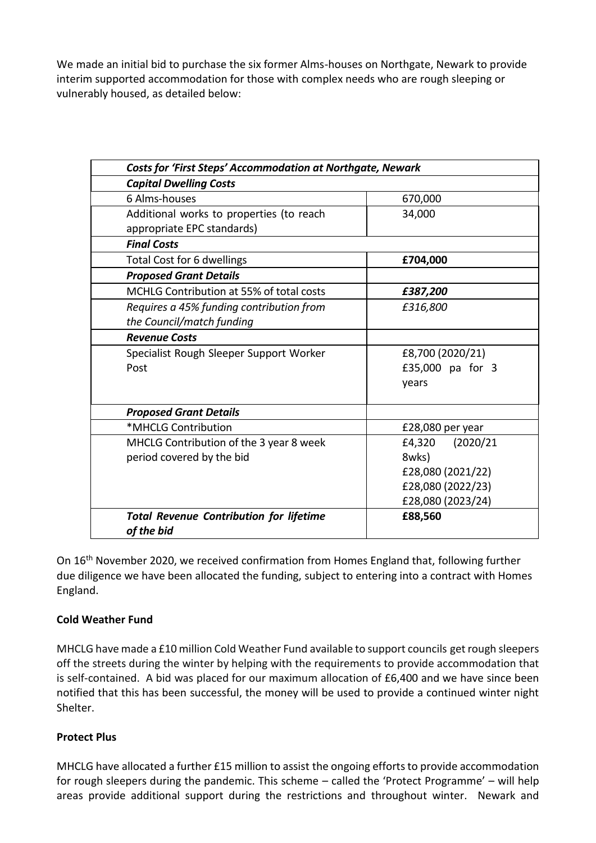We made an initial bid to purchase the six former Alms-houses on Northgate, Newark to provide interim supported accommodation for those with complex needs who are rough sleeping or vulnerably housed, as detailed below:

| <b>Costs for 'First Steps' Accommodation at Northgate, Newark</b> |                     |  |  |
|-------------------------------------------------------------------|---------------------|--|--|
| <b>Capital Dwelling Costs</b>                                     |                     |  |  |
| 6 Alms-houses                                                     | 670,000             |  |  |
| Additional works to properties (to reach                          | 34,000              |  |  |
| appropriate EPC standards)                                        |                     |  |  |
| <b>Final Costs</b>                                                |                     |  |  |
| Total Cost for 6 dwellings                                        | £704,000            |  |  |
| <b>Proposed Grant Details</b>                                     |                     |  |  |
| MCHLG Contribution at 55% of total costs                          | £387,200            |  |  |
| Requires a 45% funding contribution from                          | £316,800            |  |  |
| the Council/match funding                                         |                     |  |  |
| <b>Revenue Costs</b>                                              |                     |  |  |
| Specialist Rough Sleeper Support Worker                           | £8,700 (2020/21)    |  |  |
| Post                                                              | £35,000 pa for 3    |  |  |
|                                                                   | years               |  |  |
| <b>Proposed Grant Details</b>                                     |                     |  |  |
| *MHCLG Contribution                                               | £28,080 per year    |  |  |
| MHCLG Contribution of the 3 year 8 week                           | £4,320<br>(2020/21) |  |  |
| period covered by the bid                                         | 8wks)               |  |  |
|                                                                   | £28,080 (2021/22)   |  |  |
|                                                                   | £28,080 (2022/23)   |  |  |
|                                                                   | £28,080 (2023/24)   |  |  |
| <b>Total Revenue Contribution for lifetime</b><br>of the bid      | £88,560             |  |  |

On 16th November 2020, we received confirmation from Homes England that, following further due diligence we have been allocated the funding, subject to entering into a contract with Homes England.

## **Cold Weather Fund**

MHCLG have made a £10 million Cold Weather Fund available to support councils get rough sleepers off the streets during the winter by helping with the requirements to provide accommodation that is self-contained. A bid was placed for our maximum allocation of £6,400 and we have since been notified that this has been successful, the money will be used to provide a continued winter night Shelter.

## **Protect Plus**

MHCLG have allocated a further £15 million to assist the ongoing efforts to provide accommodation for rough sleepers during the pandemic. This scheme – called the 'Protect Programme' – will help areas provide additional support during the restrictions and throughout winter. Newark and